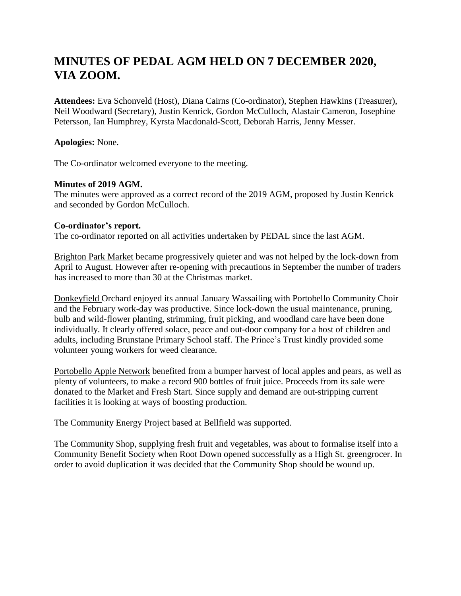# **MINUTES OF PEDAL AGM HELD ON 7 DECEMBER 2020, VIA ZOOM.**

**Attendees:** Eva Schonveld (Host), Diana Cairns (Co-ordinator), Stephen Hawkins (Treasurer), Neil Woodward (Secretary), Justin Kenrick, Gordon McCulloch, Alastair Cameron, Josephine Petersson, Ian Humphrey, Kyrsta Macdonald-Scott, Deborah Harris, Jenny Messer.

**Apologies:** None.

The Co-ordinator welcomed everyone to the meeting.

### **Minutes of 2019 AGM.**

The minutes were approved as a correct record of the 2019 AGM, proposed by Justin Kenrick and seconded by Gordon McCulloch.

#### **Co-ordinator's report.**

The co-ordinator reported on all activities undertaken by PEDAL since the last AGM.

Brighton Park Market became progressively quieter and was not helped by the lock-down from April to August. However after re-opening with precautions in September the number of traders has increased to more than 30 at the Christmas market.

Donkeyfield Orchard enjoyed its annual January Wassailing with Portobello Community Choir and the February work-day was productive. Since lock-down the usual maintenance, pruning, bulb and wild-flower planting, strimming, fruit picking, and woodland care have been done individually. It clearly offered solace, peace and out-door company for a host of children and adults, including Brunstane Primary School staff. The Prince's Trust kindly provided some volunteer young workers for weed clearance.

Portobello Apple Network benefited from a bumper harvest of local apples and pears, as well as plenty of volunteers, to make a record 900 bottles of fruit juice. Proceeds from its sale were donated to the Market and Fresh Start. Since supply and demand are out-stripping current facilities it is looking at ways of boosting production.

The Community Energy Project based at Bellfield was supported.

The Community Shop, supplying fresh fruit and vegetables, was about to formalise itself into a Community Benefit Society when Root Down opened successfully as a High St. greengrocer. In order to avoid duplication it was decided that the Community Shop should be wound up.